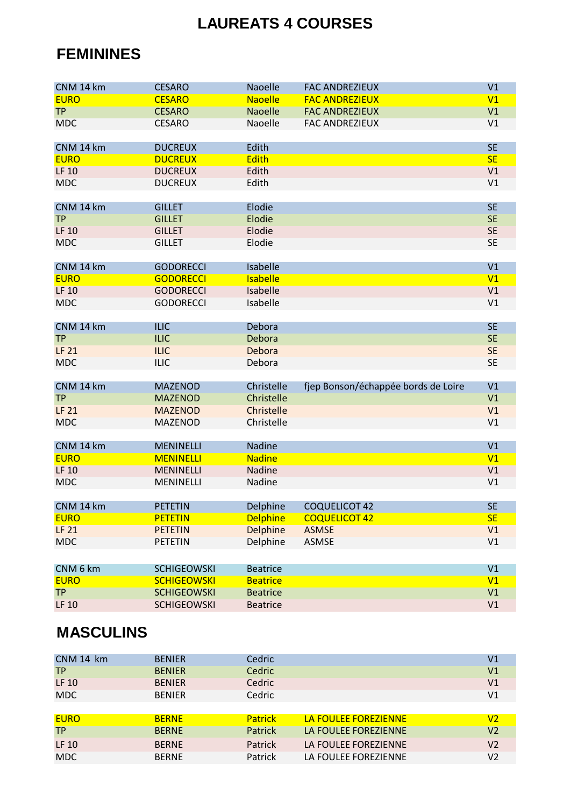## **LAUREATS 4 COURSES**

## **FEMININES**

| CNM 14 km    | <b>CESARO</b>      | <b>Naoelle</b>  | <b>FAC ANDREZIEUX</b>               | V1        |
|--------------|--------------------|-----------------|-------------------------------------|-----------|
| <b>EURO</b>  | <b>CESARO</b>      | <b>Naoelle</b>  | <b>FAC ANDREZIEUX</b>               | V1        |
| <b>TP</b>    | <b>CESARO</b>      | <b>Naoelle</b>  | <b>FAC ANDREZIEUX</b>               | V1        |
| <b>MDC</b>   | <b>CESARO</b>      | Naoelle         | <b>FAC ANDREZIEUX</b>               | V1        |
|              |                    |                 |                                     |           |
| CNM 14 km    | <b>DUCREUX</b>     | Edith           |                                     | <b>SE</b> |
| <b>EURO</b>  | <b>DUCREUX</b>     | <b>Edith</b>    |                                     | <b>SE</b> |
| <b>LF 10</b> | <b>DUCREUX</b>     | Edith           |                                     | V1        |
| <b>MDC</b>   | <b>DUCREUX</b>     | Edith           |                                     | V1        |
|              |                    |                 |                                     |           |
| CNM 14 km    | <b>GILLET</b>      | Elodie          |                                     | <b>SE</b> |
| <b>TP</b>    | <b>GILLET</b>      | Elodie          |                                     | <b>SE</b> |
| <b>LF 10</b> | <b>GILLET</b>      | Elodie          |                                     | <b>SE</b> |
| <b>MDC</b>   | <b>GILLET</b>      | Elodie          |                                     | <b>SE</b> |
|              |                    |                 |                                     |           |
| CNM 14 km    | <b>GODORECCI</b>   | Isabelle        |                                     | V1        |
| <b>EURO</b>  | <b>GODORECCI</b>   | <b>Isabelle</b> |                                     | V1        |
| <b>LF 10</b> | <b>GODORECCI</b>   | Isabelle        |                                     | V1        |
| <b>MDC</b>   | <b>GODORECCI</b>   | Isabelle        |                                     | V1        |
|              |                    |                 |                                     |           |
| CNM 14 km    | <b>ILIC</b>        | Debora          |                                     | <b>SE</b> |
| <b>TP</b>    | <b>ILIC</b>        | Debora          |                                     | <b>SE</b> |
| <b>LF 21</b> | <b>ILIC</b>        | Debora          |                                     | <b>SE</b> |
| <b>MDC</b>   | <b>ILIC</b>        | Debora          |                                     | <b>SE</b> |
|              |                    |                 |                                     |           |
| CNM 14 km    | <b>MAZENOD</b>     | Christelle      | fjep Bonson/échappée bords de Loire | V1        |
| <b>TP</b>    | <b>MAZENOD</b>     | Christelle      |                                     | V1        |
| <b>LF 21</b> | <b>MAZENOD</b>     | Christelle      |                                     | V1        |
| <b>MDC</b>   | <b>MAZENOD</b>     | Christelle      |                                     | V1        |
|              |                    |                 |                                     |           |
| CNM 14 km    | <b>MENINELLI</b>   | Nadine          |                                     | V1        |
| <b>EURO</b>  | <b>MENINELLI</b>   | <b>Nadine</b>   |                                     | V1        |
| <b>LF 10</b> | <b>MENINELLI</b>   | Nadine          |                                     | V1        |
| <b>MDC</b>   | <b>MENINELLI</b>   | Nadine          |                                     | V1        |
|              |                    |                 |                                     |           |
| CNM 14 km    | <b>PETETIN</b>     | Delphine        | <b>COQUELICOT 42</b>                | <b>SE</b> |
| <b>EURO</b>  | <b>PETETIN</b>     | <b>Delphine</b> | <b>COQUELICOT 42</b>                | <b>SE</b> |
| <b>LF 21</b> | <b>PETETIN</b>     | Delphine        | <b>ASMSE</b>                        | V1        |
| <b>MDC</b>   | <b>PETETIN</b>     | Delphine        | <b>ASMSE</b>                        | V1        |
|              |                    |                 |                                     |           |
| CNM 6 km     | <b>SCHIGEOWSKI</b> | <b>Beatrice</b> |                                     | V1        |
| <b>EURO</b>  | <b>SCHIGEOWSKI</b> | <b>Beatrice</b> |                                     | V1        |
| <b>TP</b>    | <b>SCHIGEOWSKI</b> | <b>Beatrice</b> |                                     | V1        |
| LF 10        | <b>SCHIGEOWSKI</b> | <b>Beatrice</b> |                                     | V1        |
|              |                    |                 |                                     |           |

## **MASCULINS**

| CNM 14 km    | <b>BENIER</b> | Cedric         |                      | V1             |
|--------------|---------------|----------------|----------------------|----------------|
| <b>TP</b>    | <b>BENIER</b> | Cedric         |                      | V <sub>1</sub> |
| <b>LF 10</b> | <b>BENIER</b> | Cedric         |                      | V1             |
| <b>MDC</b>   | <b>BENIER</b> | Cedric         |                      | V1             |
|              |               |                |                      |                |
| <b>EURO</b>  | <b>BERNE</b>  | <b>Patrick</b> | LA FOULEE FOREZIENNE | V2             |
| <b>TP</b>    | <b>BERNE</b>  | Patrick        | LA FOULEE FOREZIENNE | V <sub>2</sub> |
| <b>LF 10</b> | <b>BERNE</b>  | Patrick        | LA FOULEE FOREZIENNE | V <sub>2</sub> |
| <b>MDC</b>   | <b>BERNE</b>  | Patrick        | LA FOULEE FOREZIENNE | V2             |
|              |               |                |                      |                |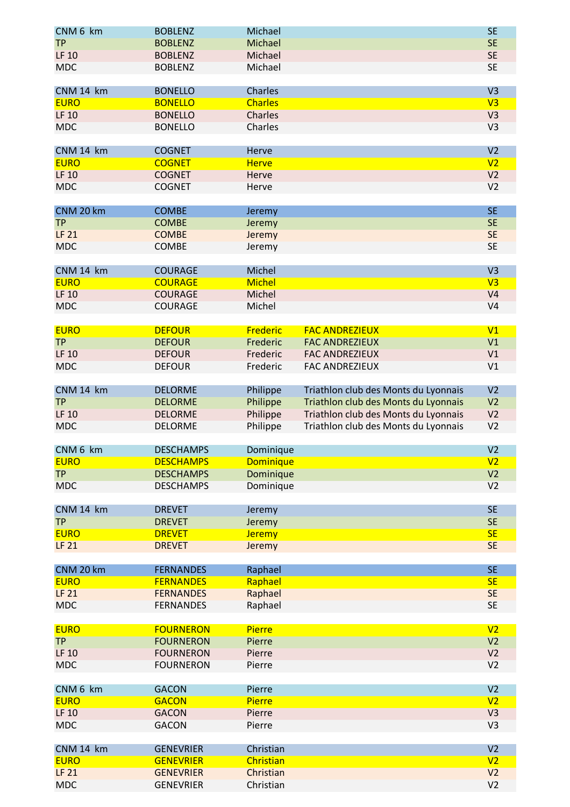| CNM 6 km     | <b>BOBLENZ</b>   | Michael          |                                      | <b>SE</b>      |
|--------------|------------------|------------------|--------------------------------------|----------------|
| <b>TP</b>    | <b>BOBLENZ</b>   | Michael          |                                      | <b>SE</b>      |
| <b>LF 10</b> |                  | Michael          |                                      | <b>SE</b>      |
|              | <b>BOBLENZ</b>   |                  |                                      |                |
| <b>MDC</b>   | <b>BOBLENZ</b>   | Michael          |                                      | <b>SE</b>      |
|              |                  |                  |                                      |                |
| CNM 14 km    | <b>BONELLO</b>   | Charles          |                                      | V <sub>3</sub> |
| <b>EURO</b>  | <b>BONELLO</b>   | <b>Charles</b>   |                                      | V <sub>3</sub> |
| <b>LF 10</b> | <b>BONELLO</b>   | Charles          |                                      | V3             |
| <b>MDC</b>   | <b>BONELLO</b>   | Charles          |                                      | V <sub>3</sub> |
|              |                  |                  |                                      |                |
| CNM 14 km    | <b>COGNET</b>    | Herve            |                                      | V <sub>2</sub> |
| <b>EURO</b>  | <b>COGNET</b>    | <b>Herve</b>     |                                      | V <sub>2</sub> |
| <b>LF 10</b> | <b>COGNET</b>    | Herve            |                                      | V <sub>2</sub> |
| <b>MDC</b>   | <b>COGNET</b>    | Herve            |                                      | V <sub>2</sub> |
|              |                  |                  |                                      |                |
| CNM 20 km    | <b>COMBE</b>     | Jeremy           |                                      | <b>SE</b>      |
| <b>TP</b>    | <b>COMBE</b>     | Jeremy           |                                      | <b>SE</b>      |
| <b>LF 21</b> | <b>COMBE</b>     | Jeremy           |                                      | <b>SE</b>      |
| <b>MDC</b>   | COMBE            | Jeremy           |                                      | <b>SE</b>      |
|              |                  |                  |                                      |                |
| CNM 14 km    | <b>COURAGE</b>   | Michel           |                                      | V <sub>3</sub> |
| <b>EURO</b>  | <b>COURAGE</b>   | <b>Michel</b>    |                                      | V <sub>3</sub> |
| <b>LF 10</b> | <b>COURAGE</b>   | Michel           |                                      | V <sub>4</sub> |
| <b>MDC</b>   |                  |                  |                                      | V <sub>4</sub> |
|              | <b>COURAGE</b>   | Michel           |                                      |                |
|              |                  |                  |                                      |                |
| <b>EURO</b>  | <b>DEFOUR</b>    | Frederic         | <b>FAC ANDREZIEUX</b>                | V <sub>1</sub> |
| <b>TP</b>    | <b>DEFOUR</b>    | Frederic         | <b>FAC ANDREZIEUX</b>                | V1             |
| <b>LF 10</b> | <b>DEFOUR</b>    | Frederic         | <b>FAC ANDREZIEUX</b>                | V1             |
| <b>MDC</b>   | <b>DEFOUR</b>    | Frederic         | <b>FAC ANDREZIEUX</b>                | V1             |
|              |                  |                  |                                      |                |
| CNM 14 km    | <b>DELORME</b>   | Philippe         | Triathlon club des Monts du Lyonnais | V <sub>2</sub> |
| <b>TP</b>    | <b>DELORME</b>   | Philippe         | Triathlon club des Monts du Lyonnais | V <sub>2</sub> |
| <b>LF 10</b> | <b>DELORME</b>   | Philippe         | Triathlon club des Monts du Lyonnais | V <sub>2</sub> |
| <b>MDC</b>   | <b>DELORME</b>   | Philippe         | Triathlon club des Monts du Lyonnais | V <sub>2</sub> |
|              |                  |                  |                                      |                |
| CNM 6 km     | <b>DESCHAMPS</b> | Dominique        |                                      | V <sub>2</sub> |
| <b>EURO</b>  | <b>DESCHAMPS</b> | <b>Dominique</b> |                                      | V <sub>2</sub> |
| <b>TP</b>    | <b>DESCHAMPS</b> | Dominique        |                                      | V <sub>2</sub> |
| <b>MDC</b>   | <b>DESCHAMPS</b> | Dominique        |                                      | V <sub>2</sub> |
|              |                  |                  |                                      |                |
| CNM 14 km    | <b>DREVET</b>    | Jeremy           |                                      | <b>SE</b>      |
| <b>TP</b>    | <b>DREVET</b>    | Jeremy           |                                      | <b>SE</b>      |
| <b>EURO</b>  | <b>DREVET</b>    | <b>Jeremy</b>    |                                      | <b>SE</b>      |
| <b>LF 21</b> | <b>DREVET</b>    | Jeremy           |                                      | <b>SE</b>      |
|              |                  |                  |                                      |                |
| CNM 20 km    | <b>FERNANDES</b> | Raphael          |                                      | <b>SE</b>      |
| <b>EURO</b>  | <b>FERNANDES</b> | Raphael          |                                      | <b>SE</b>      |
| <b>LF 21</b> | <b>FERNANDES</b> | Raphael          |                                      | <b>SE</b>      |
| <b>MDC</b>   | <b>FERNANDES</b> | Raphael          |                                      | <b>SE</b>      |
|              |                  |                  |                                      |                |
| <b>EURO</b>  | <b>FOURNERON</b> | <b>Pierre</b>    |                                      | V <sub>2</sub> |
| <b>TP</b>    | <b>FOURNERON</b> | Pierre           |                                      | V <sub>2</sub> |
| <b>LF 10</b> | <b>FOURNERON</b> | Pierre           |                                      | V <sub>2</sub> |
| <b>MDC</b>   | <b>FOURNERON</b> | Pierre           |                                      | V <sub>2</sub> |
|              |                  |                  |                                      |                |
| CNM 6 km     | <b>GACON</b>     | Pierre           |                                      | V <sub>2</sub> |
| <b>EURO</b>  | <b>GACON</b>     | <b>Pierre</b>    |                                      | V <sub>2</sub> |
| <b>LF 10</b> | <b>GACON</b>     | Pierre           |                                      | V3             |
| <b>MDC</b>   | <b>GACON</b>     | Pierre           |                                      | V <sub>3</sub> |
|              |                  |                  |                                      |                |
|              |                  |                  |                                      |                |
| CNM 14 km    | <b>GENEVRIER</b> | Christian        |                                      | V <sub>2</sub> |
| <b>EURO</b>  | <b>GENEVRIER</b> | Christian        |                                      | V <sub>2</sub> |
| <b>LF 21</b> | <b>GENEVRIER</b> | Christian        |                                      | V <sub>2</sub> |
| <b>MDC</b>   | <b>GENEVRIER</b> | Christian        |                                      | V <sub>2</sub> |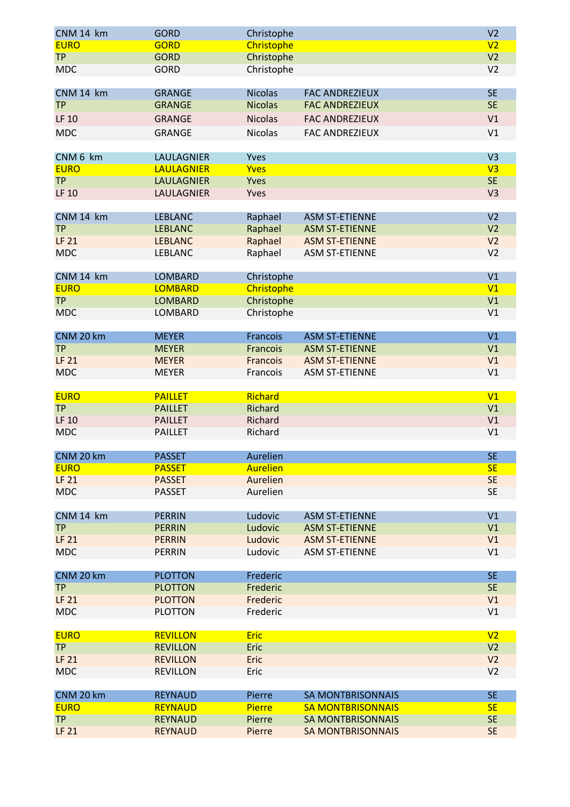| CNM 14 km    | <b>GORD</b>       | Christophe      |                          | V <sub>2</sub> |
|--------------|-------------------|-----------------|--------------------------|----------------|
| <b>EURO</b>  | <b>GORD</b>       | Christophe      |                          | V <sub>2</sub> |
| <b>TP</b>    | <b>GORD</b>       | Christophe      |                          | V <sub>2</sub> |
| <b>MDC</b>   | <b>GORD</b>       | Christophe      |                          | V <sub>2</sub> |
|              |                   |                 |                          |                |
| CNM 14 km    | <b>GRANGE</b>     | <b>Nicolas</b>  | <b>FAC ANDREZIEUX</b>    | <b>SE</b>      |
| <b>TP</b>    | <b>GRANGE</b>     | <b>Nicolas</b>  | <b>FAC ANDREZIEUX</b>    | <b>SE</b>      |
| <b>LF 10</b> | <b>GRANGE</b>     | <b>Nicolas</b>  | <b>FAC ANDREZIEUX</b>    | V1             |
|              |                   |                 |                          |                |
| <b>MDC</b>   | <b>GRANGE</b>     | <b>Nicolas</b>  | <b>FAC ANDREZIEUX</b>    | V1             |
| CNM 6 km     | <b>LAULAGNIER</b> | Yves            |                          | V <sub>3</sub> |
| <b>EURO</b>  | <b>LAULAGNIER</b> | <b>Yves</b>     |                          | V <sub>3</sub> |
| <b>TP</b>    |                   |                 |                          | <b>SE</b>      |
|              | <b>LAULAGNIER</b> | Yves            |                          |                |
| <b>LF 10</b> | LAULAGNIER        | Yves            |                          | V <sub>3</sub> |
| CNM 14 km    | <b>LEBLANC</b>    | Raphael         | <b>ASM ST-ETIENNE</b>    | V <sub>2</sub> |
| <b>TP</b>    | <b>LEBLANC</b>    |                 |                          | V <sub>2</sub> |
|              |                   | Raphael         | <b>ASM ST-ETIENNE</b>    |                |
| <b>LF 21</b> | <b>LEBLANC</b>    | Raphael         | <b>ASM ST-ETIENNE</b>    | V <sub>2</sub> |
| <b>MDC</b>   | <b>LEBLANC</b>    | Raphael         | <b>ASM ST-ETIENNE</b>    | V <sub>2</sub> |
| CNM 14 km    | <b>LOMBARD</b>    | Christophe      |                          | V1             |
| <b>EURO</b>  | <b>LOMBARD</b>    |                 |                          | V1             |
| <b>TP</b>    |                   | Christophe      |                          |                |
|              | <b>LOMBARD</b>    | Christophe      |                          | V <sub>1</sub> |
| <b>MDC</b>   | LOMBARD           | Christophe      |                          | V1             |
| CNM 20 km    | <b>MEYER</b>      | Francois        | <b>ASM ST-ETIENNE</b>    | V1             |
| <b>TP</b>    | <b>MEYER</b>      |                 | <b>ASM ST-ETIENNE</b>    | V1             |
|              |                   | Francois        |                          |                |
| <b>LF 21</b> | <b>MEYER</b>      | Francois        | <b>ASM ST-ETIENNE</b>    | V1             |
| <b>MDC</b>   | <b>MEYER</b>      | Francois        | <b>ASM ST-ETIENNE</b>    | V1             |
| <b>EURO</b>  | <b>PAILLET</b>    | Richard         |                          | V <sub>1</sub> |
| <b>TP</b>    | <b>PAILLET</b>    | Richard         |                          | V1             |
|              |                   |                 |                          |                |
| <b>LF 10</b> | <b>PAILLET</b>    | Richard         |                          | V1             |
| <b>MDC</b>   | <b>PAILLET</b>    | Richard         |                          | V1             |
| CNM 20 km    | <b>PASSET</b>     | Aurelien        |                          | <b>SE</b>      |
| <b>EURO</b>  | <b>PASSET</b>     | <b>Aurelien</b> |                          | <b>SE</b>      |
|              |                   |                 |                          |                |
| <b>LF 21</b> | <b>PASSET</b>     | Aurelien        |                          | <b>SE</b>      |
| <b>MDC</b>   | <b>PASSET</b>     | Aurelien        |                          | <b>SE</b>      |
| CNM 14 km    | <b>PERRIN</b>     | Ludovic         | <b>ASM ST-ETIENNE</b>    | V1             |
| <b>TP</b>    | <b>PERRIN</b>     | Ludovic         | <b>ASM ST-ETIENNE</b>    | V1             |
| <b>LF 21</b> | <b>PERRIN</b>     |                 | <b>ASM ST-ETIENNE</b>    | V1             |
|              |                   | Ludovic         |                          |                |
| <b>MDC</b>   | <b>PERRIN</b>     | Ludovic         | <b>ASM ST-ETIENNE</b>    | V1             |
| CNM 20 km    | <b>PLOTTON</b>    | Frederic        |                          | <b>SE</b>      |
| <b>TP</b>    | <b>PLOTTON</b>    | Frederic        |                          | <b>SE</b>      |
| <b>LF 21</b> | <b>PLOTTON</b>    | Frederic        |                          | V1             |
|              |                   |                 |                          | V1             |
| <b>MDC</b>   | <b>PLOTTON</b>    | Frederic        |                          |                |
| <b>EURO</b>  | <b>REVILLON</b>   | <b>Eric</b>     |                          | V <sub>2</sub> |
| <b>TP</b>    | <b>REVILLON</b>   | Eric            |                          | V <sub>2</sub> |
| <b>LF 21</b> | <b>REVILLON</b>   | Eric            |                          | V <sub>2</sub> |
| <b>MDC</b>   |                   |                 |                          | V <sub>2</sub> |
|              | <b>REVILLON</b>   | Eric            |                          |                |
| CNM 20 km    | <b>REYNAUD</b>    | Pierre          | <b>SA MONTBRISONNAIS</b> | <b>SE</b>      |
| <b>EURO</b>  | <b>REYNAUD</b>    | Pierre          | <b>SA MONTBRISONNAIS</b> | <b>SE</b>      |
| <b>TP</b>    | <b>REYNAUD</b>    | Pierre          | <b>SA MONTBRISONNAIS</b> | <b>SE</b>      |
| <b>LF 21</b> | <b>REYNAUD</b>    | Pierre          | <b>SA MONTBRISONNAIS</b> | <b>SE</b>      |
|              |                   |                 |                          |                |